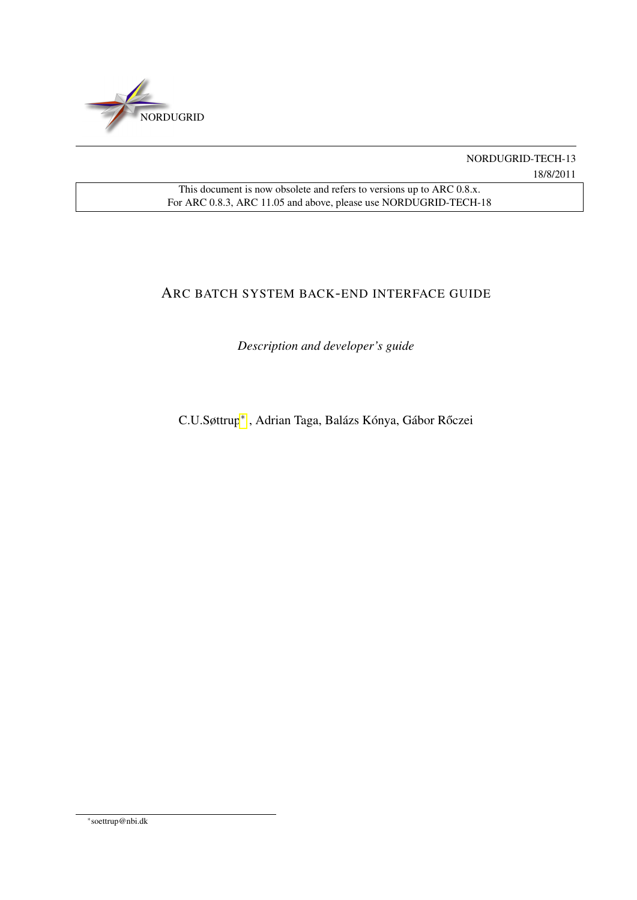<span id="page-0-1"></span>

NORDUGRID-TECH-13 18/8/2011

This document is now obsolete and refers to versions up to ARC 0.8.x. For ARC 0.8.3, ARC 11.05 and above, please use NORDUGRID-TECH-18

# ARC BATCH SYSTEM BACK-END INTERFACE GUIDE

*Description and developer's guide*

C.U.Søttrup<sup>\*</sup>, Adrian Taga, Balázs Kónya, Gábor Rőczei

<span id="page-0-0"></span>∗ soettrup@nbi.dk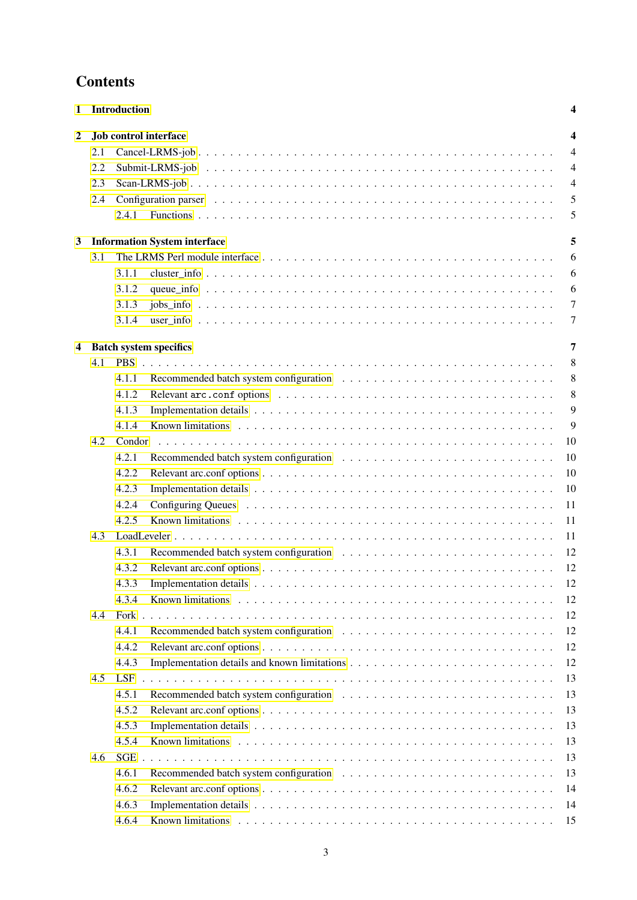# **Contents**

| 1                                        | <b>Introduction</b> |            |                       |                |
|------------------------------------------|---------------------|------------|-----------------------|----------------|
| $\boldsymbol{2}$                         |                     |            | Job control interface | 4              |
|                                          | 2.1                 |            |                       | $\overline{4}$ |
|                                          | 2.2                 |            |                       | $\overline{4}$ |
|                                          | 2.3                 |            |                       | $\overline{4}$ |
|                                          | 2.4                 |            |                       | 5              |
|                                          |                     | 2.4.1      |                       | 5              |
|                                          |                     |            |                       | 5              |
| <b>Information System interface</b><br>3 |                     |            |                       |                |
|                                          | 3.1                 |            |                       | 6              |
|                                          |                     | 3.1.1      |                       | 6              |
|                                          |                     | 3.1.2      |                       | 6              |
|                                          |                     | 3.1.3      |                       | 7              |
|                                          |                     | 3.1.4      |                       | 7              |
| <b>Batch system specifics</b><br>4       |                     |            |                       |                |
|                                          | 4.1                 | <b>PBS</b> |                       | 8              |
|                                          |                     | 4.1.1      |                       | 8              |
|                                          |                     | 4.1.2      |                       | 8              |
|                                          |                     | 4.1.3      |                       | 9              |
|                                          |                     | 4.1.4      |                       | 9              |
|                                          | 4.2.                | Condor     |                       | 10             |
|                                          |                     | 4.2.1      |                       | 10             |
|                                          |                     | 4.2.2      |                       | 10             |
|                                          |                     | 4.2.3      |                       | 10             |
|                                          |                     | 4.2.4      |                       | 11             |
|                                          |                     | 4.2.5      |                       | 11             |
|                                          | 4.3                 |            |                       | 11             |
|                                          |                     | 4.3.1      |                       | 12             |
|                                          |                     | 4.3.2      |                       | 12             |
|                                          |                     | 4.3.3      |                       | 12             |
|                                          |                     | 4.3.4      |                       |                |
|                                          |                     |            |                       | 12             |
|                                          | 4.4                 | Fork       |                       | 12             |
|                                          |                     | 4.4.1      |                       | 12             |
|                                          |                     | 4.4.2      |                       | 12             |
|                                          |                     | 4.4.3      |                       | 12             |
|                                          | 4.5                 | <b>LSF</b> |                       | 13             |
|                                          |                     | 4.5.1      |                       | 13             |
|                                          |                     | 4.5.2      |                       | 13             |
|                                          |                     | 4.5.3      |                       | 13             |
|                                          |                     | 4.5.4      |                       | 13             |
|                                          | 4.6                 | <b>SGE</b> |                       | 13             |
|                                          |                     | 4.6.1      |                       | 13             |
|                                          |                     | 4.6.2      |                       | 14             |
|                                          |                     | 4.6.3      |                       | 14             |
|                                          |                     | 4.6.4      |                       | 15             |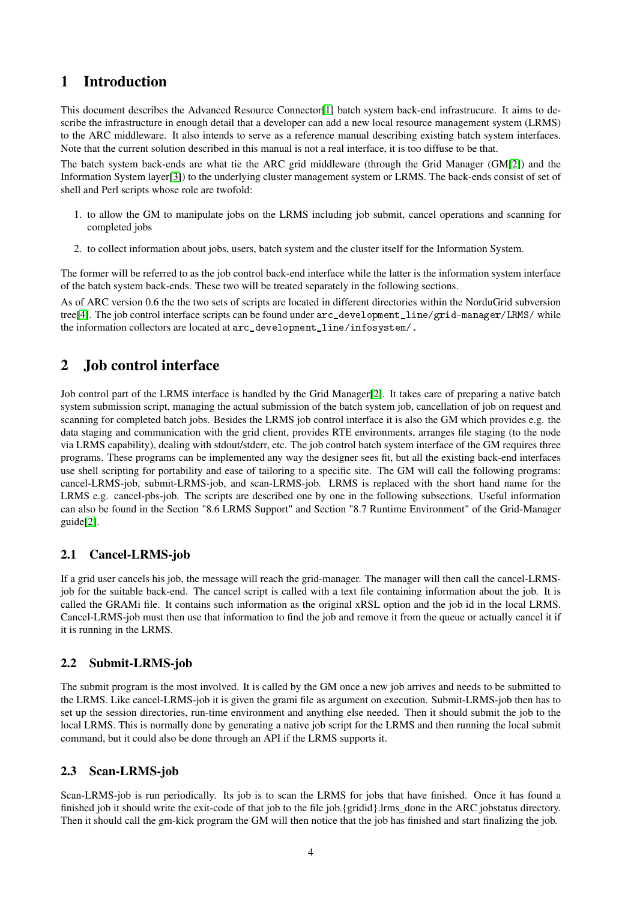# <span id="page-3-0"></span>1 Introduction

This document describes the Advanced Resource Connector[\[1\]](#page-14-1) batch system back-end infrastrucure. It aims to describe the infrastructure in enough detail that a developer can add a new local resource management system (LRMS) to the ARC middleware. It also intends to serve as a reference manual describing existing batch system interfaces. Note that the current solution described in this manual is not a real interface, it is too diffuse to be that.

The batch system back-ends are what tie the ARC grid middleware (through the Grid Manager (GM[\[2\]](#page-14-2)) and the Information System layer[\[3\]](#page-14-3)) to the underlying cluster management system or LRMS. The back-ends consist of set of shell and Perl scripts whose role are twofold:

- 1. to allow the GM to manipulate jobs on the LRMS including job submit, cancel operations and scanning for completed jobs
- 2. to collect information about jobs, users, batch system and the cluster itself for the Information System.

The former will be referred to as the job control back-end interface while the latter is the information system interface of the batch system back-ends. These two will be treated separately in the following sections.

As of ARC version 0.6 the the two sets of scripts are located in different directories within the NorduGrid subversion tree[\[4\]](#page-14-4). The job control interface scripts can be found under arc\_development\_line/grid-manager/LRMS/ while the information collectors are located at arc\_development\_line/infosystem/.

# <span id="page-3-1"></span>2 Job control interface

Job control part of the LRMS interface is handled by the Grid Manager[\[2\]](#page-14-2). It takes care of preparing a native batch system submission script, managing the actual submission of the batch system job, cancellation of job on request and scanning for completed batch jobs. Besides the LRMS job control interface it is also the GM which provides e.g. the data staging and communication with the grid client, provides RTE environments, arranges file staging (to the node via LRMS capability), dealing with stdout/stderr, etc. The job control batch system interface of the GM requires three programs. These programs can be implemented any way the designer sees fit, but all the existing back-end interfaces use shell scripting for portability and ease of tailoring to a specific site. The GM will call the following programs: cancel-LRMS-job, submit-LRMS-job, and scan-LRMS-job. LRMS is replaced with the short hand name for the LRMS e.g. cancel-pbs-job. The scripts are described one by one in the following subsections. Useful information can also be found in the Section "8.6 LRMS Support" and Section "8.7 Runtime Environment" of the Grid-Manager guide[\[2\]](#page-14-2).

# <span id="page-3-2"></span>2.1 Cancel-LRMS-job

If a grid user cancels his job, the message will reach the grid-manager. The manager will then call the cancel-LRMSjob for the suitable back-end. The cancel script is called with a text file containing information about the job. It is called the GRAMi file. It contains such information as the original xRSL option and the job id in the local LRMS. Cancel-LRMS-job must then use that information to find the job and remove it from the queue or actually cancel it if it is running in the LRMS.

# <span id="page-3-3"></span>2.2 Submit-LRMS-job

The submit program is the most involved. It is called by the GM once a new job arrives and needs to be submitted to the LRMS. Like cancel-LRMS-job it is given the grami file as argument on execution. Submit-LRMS-job then has to set up the session directories, run-time environment and anything else needed. Then it should submit the job to the local LRMS. This is normally done by generating a native job script for the LRMS and then running the local submit command, but it could also be done through an API if the LRMS supports it.

# <span id="page-3-4"></span>2.3 Scan-LRMS-job

Scan-LRMS-job is run periodically. Its job is to scan the LRMS for jobs that have finished. Once it has found a finished job it should write the exit-code of that job to the file job.{gridid}.lrms\_done in the ARC jobstatus directory. Then it should call the gm-kick program the GM will then notice that the job has finished and start finalizing the job.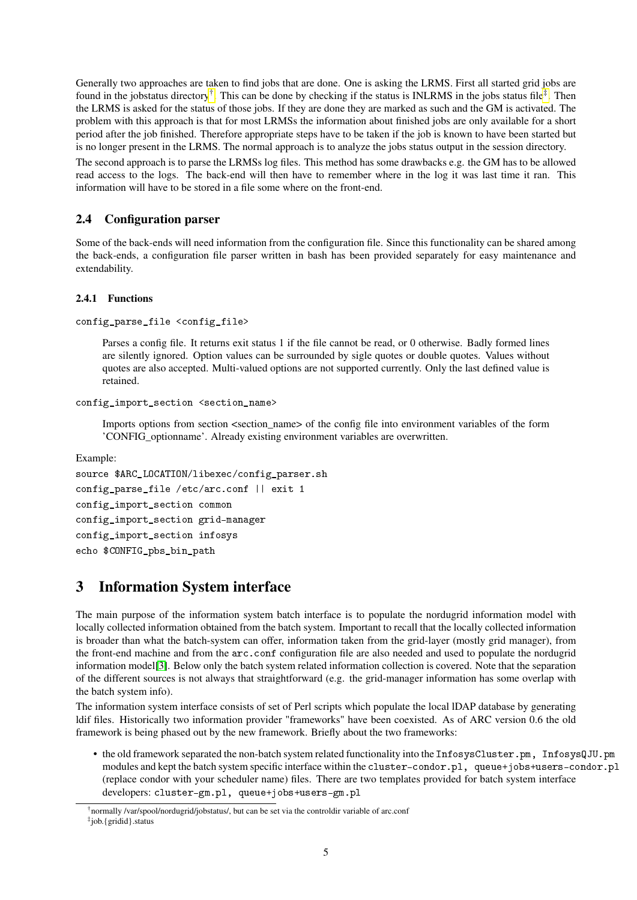Generally two approaches are taken to find jobs that are done. One is asking the LRMS. First all started grid jobs are found in the jobstatus directory<sup>[†](#page-4-3)</sup>. This can be done by checking if the status is INLRMS in the jobs status file<sup>[‡](#page-4-4)</sup>. Then the LRMS is asked for the status of those jobs. If they are done they are marked as such and the GM is activated. The problem with this approach is that for most LRMSs the information about finished jobs are only available for a short period after the job finished. Therefore appropriate steps have to be taken if the job is known to have been started but is no longer present in the LRMS. The normal approach is to analyze the jobs status output in the session directory.

The second approach is to parse the LRMSs log files. This method has some drawbacks e.g. the GM has to be allowed read access to the logs. The back-end will then have to remember where in the log it was last time it ran. This information will have to be stored in a file some where on the front-end.

# <span id="page-4-0"></span>2.4 Configuration parser

Some of the back-ends will need information from the configuration file. Since this functionality can be shared among the back-ends, a configuration file parser written in bash has been provided separately for easy maintenance and extendability.

## <span id="page-4-1"></span>2.4.1 Functions

```
config_parse_file <config_file>
```
Parses a config file. It returns exit status 1 if the file cannot be read, or 0 otherwise. Badly formed lines are silently ignored. Option values can be surrounded by sigle quotes or double quotes. Values without quotes are also accepted. Multi-valued options are not supported currently. Only the last defined value is retained.

```
config_import_section <section_name>
```
Imports options from section <section\_name> of the config file into environment variables of the form 'CONFIG\_optionname'. Already existing environment variables are overwritten.

Example:

```
source $ARC_LOCATION/libexec/config_parser.sh
config parse file /etc/arc.conf || exit 1
config_import_section common
config_import_section grid-manager
config_import_section infosys
echo $CONFIG_pbs_bin_path
```
# <span id="page-4-2"></span>3 Information System interface

The main purpose of the information system batch interface is to populate the nordugrid information model with locally collected information obtained from the batch system. Important to recall that the locally collected information is broader than what the batch-system can offer, information taken from the grid-layer (mostly grid manager), from the front-end machine and from the arc.conf configuration file are also needed and used to populate the nordugrid information model[\[3\]](#page-14-3). Below only the batch system related information collection is covered. Note that the separation of the different sources is not always that straightforward (e.g. the grid-manager information has some overlap with the batch system info).

The information system interface consists of set of Perl scripts which populate the local lDAP database by generating ldif files. Historically two information provider "frameworks" have been coexisted. As of ARC version 0.6 the old framework is being phased out by the new framework. Briefly about the two frameworks:

• the old framework separated the non-batch system related functionality into the InfosysCluster.pm, InfosysQJU.pm modules and kept the batch system specific interface within the cluster-condor.pl, queue+jobs+users-condor.pl (replace condor with your scheduler name) files. There are two templates provided for batch system interface developers: cluster-gm.pl, queue+jobs+users-gm.pl

<span id="page-4-4"></span><span id="page-4-3"></span><sup>†</sup>normally /var/spool/nordugrid/jobstatus/, but can be set via the controldir variable of arc.conf ‡ job.{gridid}.status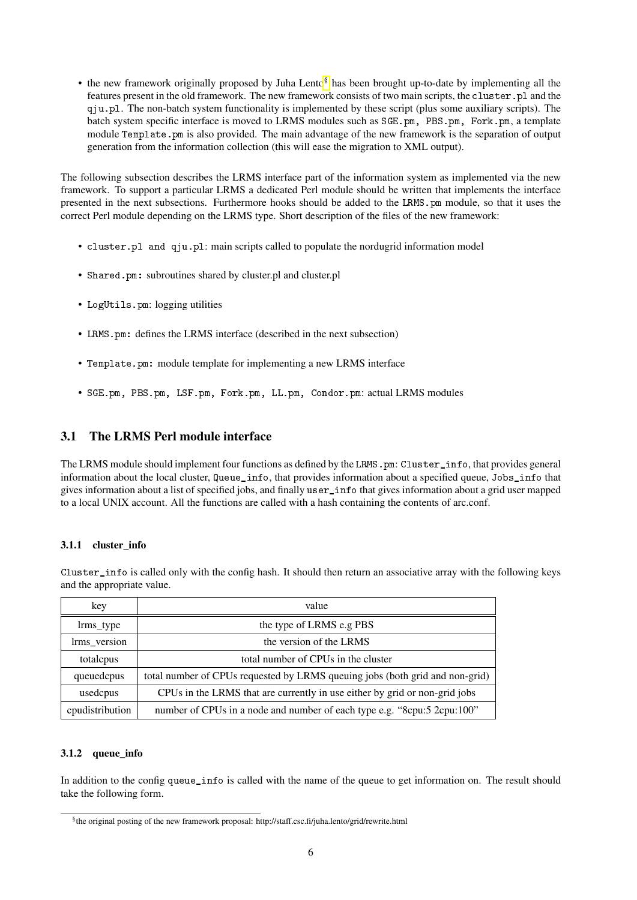• the new framework originally proposed by Juha Lento<sup>[§](#page-5-3)</sup> has been brought up-to-date by implementing all the features present in the old framework. The new framework consists of two main scripts, the cluster.pl and the qju.pl. The non-batch system functionality is implemented by these script (plus some auxiliary scripts). The batch system specific interface is moved to LRMS modules such as SGE.pm, PBS.pm, Fork.pm, a template module Template.pm is also provided. The main advantage of the new framework is the separation of output generation from the information collection (this will ease the migration to XML output).

The following subsection describes the LRMS interface part of the information system as implemented via the new framework. To support a particular LRMS a dedicated Perl module should be written that implements the interface presented in the next subsections. Furthermore hooks should be added to the LRMS.pm module, so that it uses the correct Perl module depending on the LRMS type. Short description of the files of the new framework:

- cluster.pl and qju.pl: main scripts called to populate the nordugrid information model
- Shared.pm: subroutines shared by cluster.pl and cluster.pl
- LogUtils.pm: logging utilities
- LRMS.pm: defines the LRMS interface (described in the next subsection)
- Template.pm: module template for implementing a new LRMS interface
- SGE.pm, PBS.pm, LSF.pm, Fork.pm, LL.pm, Condor.pm: actual LRMS modules

# <span id="page-5-0"></span>3.1 The LRMS Perl module interface

The LRMS module should implement four functions as defined by the LRMS.pm: Cluster info, that provides general information about the local cluster, Queue\_info, that provides information about a specified queue, Jobs\_info that gives information about a list of specified jobs, and finally user\_info that gives information about a grid user mapped to a local UNIX account. All the functions are called with a hash containing the contents of arc.conf.

#### <span id="page-5-1"></span>3.1.1 cluster info

Cluster\_info is called only with the config hash. It should then return an associative array with the following keys and the appropriate value.

| key             | value                                                                        |
|-----------------|------------------------------------------------------------------------------|
| lrms_type       | the type of LRMS e.g PBS                                                     |
| lrms_version    | the version of the LRMS                                                      |
| totalcpus       | total number of CPUs in the cluster                                          |
| queuedcpus      | total number of CPUs requested by LRMS queuing jobs (both grid and non-grid) |
| usedcpus        | CPUs in the LRMS that are currently in use either by grid or non-grid jobs   |
| cpudistribution | number of CPUs in a node and number of each type e.g. "Scpu:5 2cpu:100"      |

#### <span id="page-5-2"></span>3.1.2 queue\_info

In addition to the config queue info is called with the name of the queue to get information on. The result should take the following form.

<span id="page-5-3"></span><sup>§</sup> the original posting of the new framework proposal: http://staff.csc.fi/juha.lento/grid/rewrite.html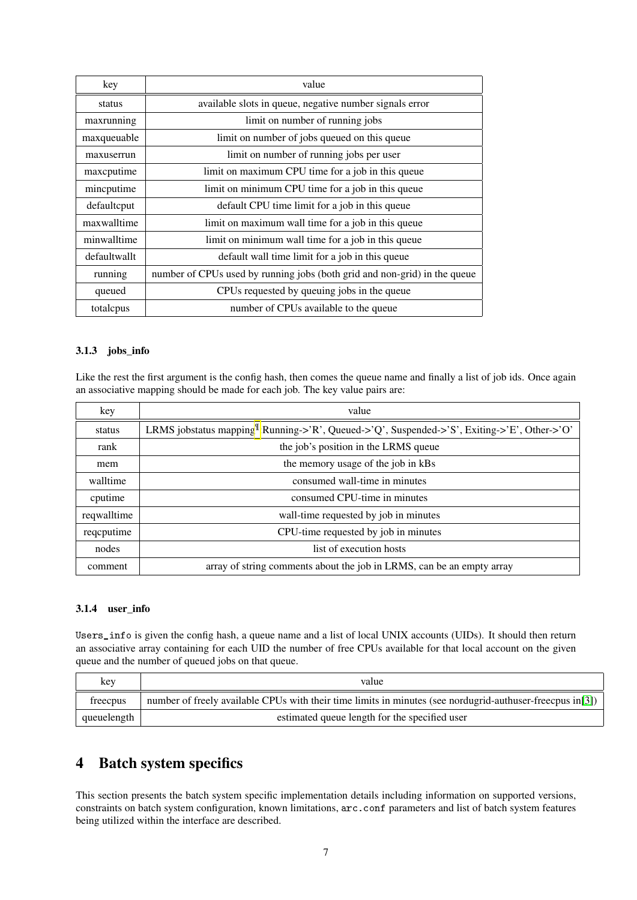| key          | value                                                                     |
|--------------|---------------------------------------------------------------------------|
| status       | available slots in queue, negative number signals error                   |
| maxrunning   | limit on number of running jobs                                           |
| maxqueuable  | limit on number of jobs queued on this queue                              |
| maxuserrun   | limit on number of running jobs per user                                  |
| maxcputime   | limit on maximum CPU time for a job in this queue                         |
| mincputime   | limit on minimum CPU time for a job in this queue                         |
| defaultcput  | default CPU time limit for a job in this queue                            |
| maxwalltime  | limit on maximum wall time for a job in this queue                        |
| minwalltime  | limit on minimum wall time for a job in this queue                        |
| defaultwallt | default wall time limit for a job in this queue                           |
| running      | number of CPUs used by running jobs (both grid and non-grid) in the queue |
| queued       | CPUs requested by queuing jobs in the queue                               |
| totalcpus    | number of CPUs available to the queue                                     |

### <span id="page-6-0"></span>3.1.3 jobs\_info

Like the rest the first argument is the config hash, then comes the queue name and finally a list of job ids. Once again an associative mapping should be made for each job. The key value pairs are:

| key         | value                                                                                               |
|-------------|-----------------------------------------------------------------------------------------------------|
| status      | LRMS jobstatus mapping $\ell$ : Running->'R', Queued->'Q', Suspended->'S', Exiting->'E', Other->'O' |
| rank        | the job's position in the LRMS queue                                                                |
| mem         | the memory usage of the job in kBs                                                                  |
| walltime    | consumed wall-time in minutes                                                                       |
| cputime     | consumed CPU-time in minutes                                                                        |
| reqwalltime | wall-time requested by job in minutes                                                               |
| reqcputime  | CPU-time requested by job in minutes                                                                |
| nodes       | list of execution hosts                                                                             |
| comment     | array of string comments about the job in LRMS, can be an empty array                               |

#### <span id="page-6-1"></span>3.1.4 user\_info

Users\_info is given the config hash, a queue name and a list of local UNIX accounts (UIDs). It should then return an associative array containing for each UID the number of free CPUs available for that local account on the given queue and the number of queued jobs on that queue.

| key         | value                                                                                                      |
|-------------|------------------------------------------------------------------------------------------------------------|
| freecpus    | number of freely available CPUs with their time limits in minutes (see nordugrid-authuser-freecpus in [3]) |
| queuelength | estimated queue length for the specified user                                                              |

# <span id="page-6-2"></span>4 Batch system specifics

This section presents the batch system specific implementation details including information on supported versions, constraints on batch system configuration, known limitations, arc.conf parameters and list of batch system features being utilized within the interface are described.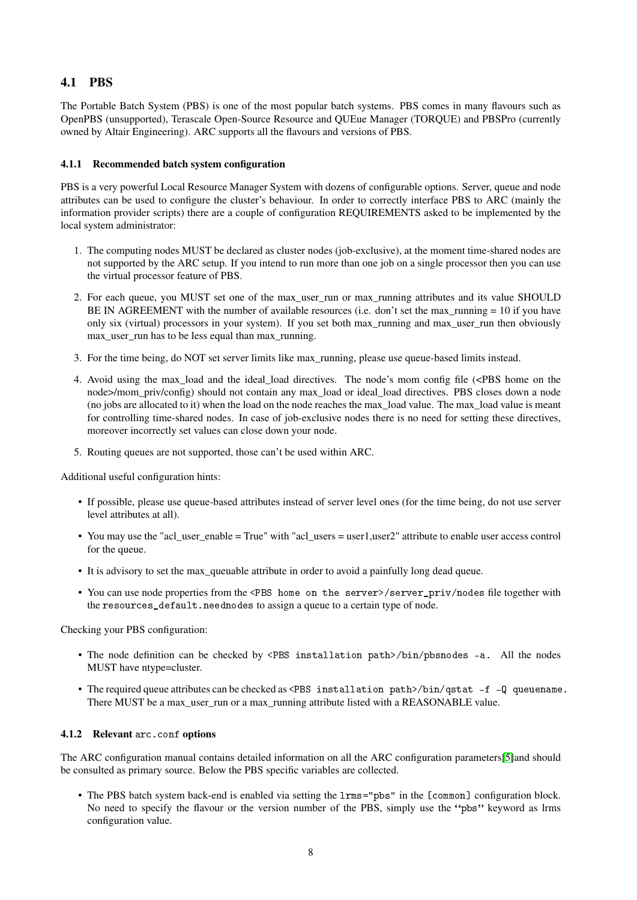# <span id="page-7-0"></span>4.1 PBS

The Portable Batch System (PBS) is one of the most popular batch systems. PBS comes in many flavours such as OpenPBS (unsupported), Terascale Open-Source Resource and QUEue Manager (TORQUE) and PBSPro (currently owned by Altair Engineering). ARC supports all the flavours and versions of PBS.

## <span id="page-7-1"></span>4.1.1 Recommended batch system configuration

PBS is a very powerful Local Resource Manager System with dozens of configurable options. Server, queue and node attributes can be used to configure the cluster's behaviour. In order to correctly interface PBS to ARC (mainly the information provider scripts) there are a couple of configuration REQUIREMENTS asked to be implemented by the local system administrator:

- 1. The computing nodes MUST be declared as cluster nodes (job-exclusive), at the moment time-shared nodes are not supported by the ARC setup. If you intend to run more than one job on a single processor then you can use the virtual processor feature of PBS.
- 2. For each queue, you MUST set one of the max\_user\_run or max\_running attributes and its value SHOULD BE IN AGREEMENT with the number of available resources (i.e. don't set the max running  $= 10$  if you have only six (virtual) processors in your system). If you set both max\_running and max\_user\_run then obviously max user run has to be less equal than max running.
- 3. For the time being, do NOT set server limits like max\_running, please use queue-based limits instead.
- 4. Avoid using the max\_load and the ideal\_load directives. The node's mom config file (<PBS home on the node>/mom\_priv/config) should not contain any max\_load or ideal\_load directives. PBS closes down a node (no jobs are allocated to it) when the load on the node reaches the max\_load value. The max\_load value is meant for controlling time-shared nodes. In case of job-exclusive nodes there is no need for setting these directives, moreover incorrectly set values can close down your node.
- 5. Routing queues are not supported, those can't be used within ARC.

Additional useful configuration hints:

- If possible, please use queue-based attributes instead of server level ones (for the time being, do not use server level attributes at all).
- You may use the "acl\_user\_enable = True" with "acl\_users = user1,user2" attribute to enable user access control for the queue.
- It is advisory to set the max\_queuable attribute in order to avoid a painfully long dead queue.
- You can use node properties from the <PBS home on the server>/server\_priv/nodes file together with the resources\_default.neednodes to assign a queue to a certain type of node.

Checking your PBS configuration:

- The node definition can be checked by <PBS installation path>/bin/pbsnodes -a. All the nodes MUST have ntype=cluster.
- The required queue attributes can be checked as <PBS installation path>/bin/qstat -f -Q queuename. There MUST be a max user run or a max running attribute listed with a REASONABLE value.

#### <span id="page-7-2"></span>4.1.2 Relevant arc.conf options

The ARC configuration manual contains detailed information on all the ARC configuration parameters[\[5\]](#page-14-5)and should be consulted as primary source. Below the PBS specific variables are collected.

• The PBS batch system back-end is enabled via setting the lrms="pbs" in the [common] configuration block. No need to specify the flavour or the version number of the PBS, simply use the "pbs" keyword as lrms configuration value.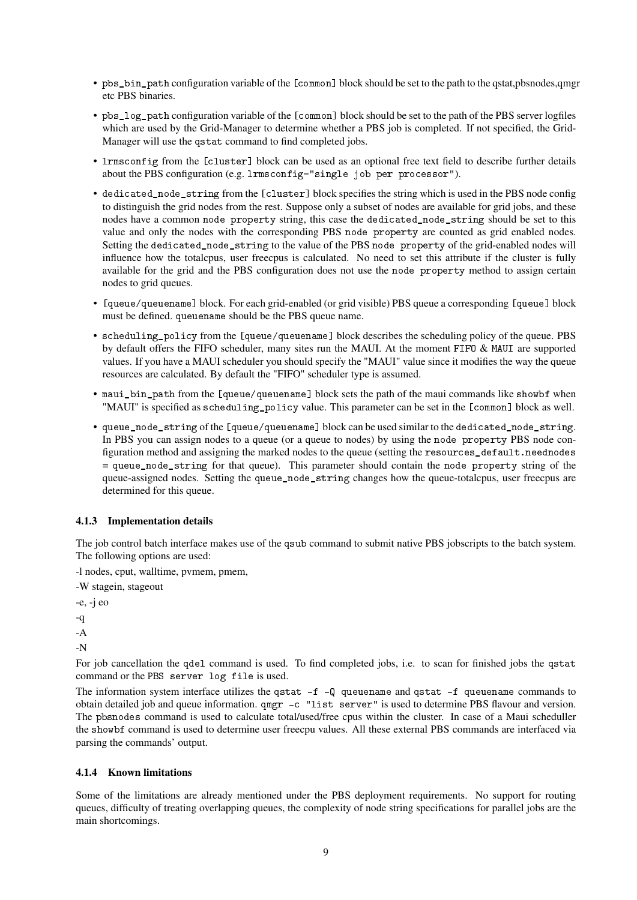- pbs\_bin\_path configuration variable of the [common] block should be set to the path to the qstat,pbsnodes,qmgr etc PBS binaries.
- pbs\_log\_path configuration variable of the [common] block should be set to the path of the PBS server logfiles which are used by the Grid-Manager to determine whether a PBS job is completed. If not specified, the Grid-Manager will use the qstat command to find completed jobs.
- lrmsconfig from the [cluster] block can be used as an optional free text field to describe further details about the PBS configuration (e.g. lrmsconfig="single job per processor").
- dedicated\_node\_string from the [cluster] block specifies the string which is used in the PBS node config to distinguish the grid nodes from the rest. Suppose only a subset of nodes are available for grid jobs, and these nodes have a common node property string, this case the dedicated\_node\_string should be set to this value and only the nodes with the corresponding PBS node property are counted as grid enabled nodes. Setting the dedicated\_node\_string to the value of the PBS node property of the grid-enabled nodes will influence how the totalcpus, user freecpus is calculated. No need to set this attribute if the cluster is fully available for the grid and the PBS configuration does not use the node property method to assign certain nodes to grid queues.
- [queue/queuename] block. For each grid-enabled (or grid visible) PBS queue a corresponding [queue] block must be defined. queuename should be the PBS queue name.
- scheduling policy from the [queue/queuename] block describes the scheduling policy of the queue. PBS by default offers the FIFO scheduler, many sites run the MAUI. At the moment FIFO & MAUI are supported values. If you have a MAUI scheduler you should specify the "MAUI" value since it modifies the way the queue resources are calculated. By default the "FIFO" scheduler type is assumed.
- maui\_bin\_path from the [queue/queuename] block sets the path of the maui commands like showbf when "MAUI" is specified as scheduling\_policy value. This parameter can be set in the [common] block as well.
- queue\_node\_string of the [queue/queuename] block can be used similar to the dedicated\_node\_string. In PBS you can assign nodes to a queue (or a queue to nodes) by using the node property PBS node configuration method and assigning the marked nodes to the queue (setting the resources\_default.neednodes  $=$  queue node string for that queue). This parameter should contain the node property string of the queue-assigned nodes. Setting the queue\_node\_string changes how the queue-totalcpus, user freecpus are determined for this queue.

## <span id="page-8-0"></span>4.1.3 Implementation details

The job control batch interface makes use of the qsub command to submit native PBS jobscripts to the batch system. The following options are used:

-l nodes, cput, walltime, pvmem, pmem,

-W stagein, stageout

-e, -j eo -q

-A

-N

For job cancellation the gdel command is used. To find completed jobs, i.e. to scan for finished jobs the gstat command or the PBS server log file is used.

The information system interface utilizes the qstat  $-f - Q$  queuename and qstat  $-f$  queuename commands to obtain detailed job and queue information. qmgr -c "list server" is used to determine PBS flavour and version. The pbsnodes command is used to calculate total/used/free cpus within the cluster. In case of a Maui scheduller the showbf command is used to determine user freecpu values. All these external PBS commands are interfaced via parsing the commands' output.

## <span id="page-8-1"></span>4.1.4 Known limitations

Some of the limitations are already mentioned under the PBS deployment requirements. No support for routing queues, difficulty of treating overlapping queues, the complexity of node string specifications for parallel jobs are the main shortcomings.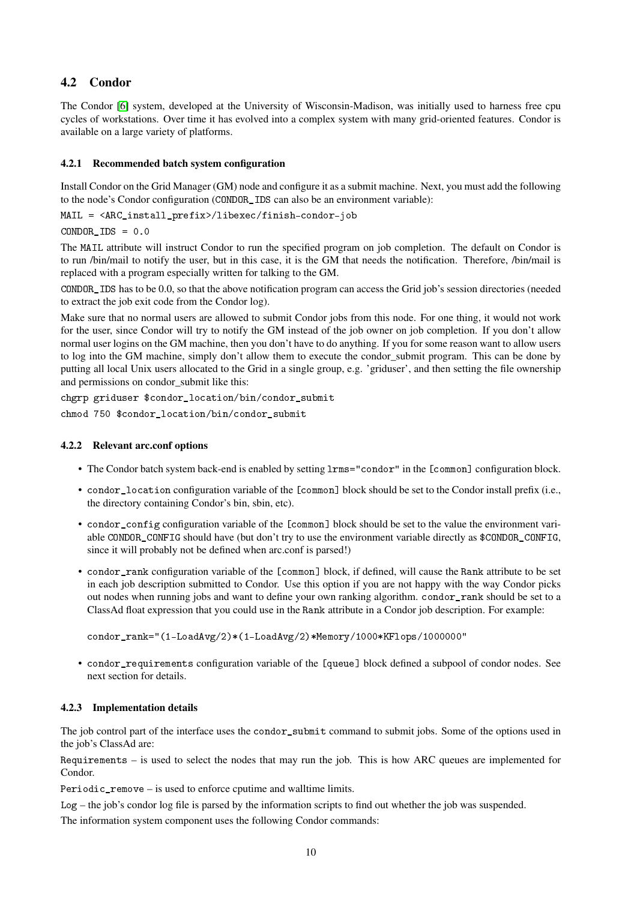# <span id="page-9-0"></span>4.2 Condor

The Condor [\[6\]](#page-14-6) system, developed at the University of Wisconsin-Madison, was initially used to harness free cpu cycles of workstations. Over time it has evolved into a complex system with many grid-oriented features. Condor is available on a large variety of platforms.

# <span id="page-9-1"></span>4.2.1 Recommended batch system configuration

Install Condor on the Grid Manager (GM) node and configure it as a submit machine. Next, you must add the following to the node's Condor configuration (CONDOR\_IDS can also be an environment variable):

MAIL = <ARC\_install\_prefix>/libexec/finish-condor-job

 $COMPOR$   $IDS = 0.0$ 

The MAIL attribute will instruct Condor to run the specified program on job completion. The default on Condor is to run /bin/mail to notify the user, but in this case, it is the GM that needs the notification. Therefore, /bin/mail is replaced with a program especially written for talking to the GM.

CONDOR\_IDS has to be 0.0, so that the above notification program can access the Grid job's session directories (needed to extract the job exit code from the Condor log).

Make sure that no normal users are allowed to submit Condor jobs from this node. For one thing, it would not work for the user, since Condor will try to notify the GM instead of the job owner on job completion. If you don't allow normal user logins on the GM machine, then you don't have to do anything. If you for some reason want to allow users to log into the GM machine, simply don't allow them to execute the condor\_submit program. This can be done by putting all local Unix users allocated to the Grid in a single group, e.g. 'griduser', and then setting the file ownership and permissions on condor submit like this:

chgrp griduser \$condor\_location/bin/condor\_submit chmod 750 \$condor\_location/bin/condor\_submit

## <span id="page-9-2"></span>4.2.2 Relevant arc.conf options

- The Condor batch system back-end is enabled by setting  $l$ rms="condor" in the [common] configuration block.
- condor\_location configuration variable of the [common] block should be set to the Condor install prefix (i.e., the directory containing Condor's bin, sbin, etc).
- condor configuration variable of the [common] block should be set to the value the environment variable CONDOR\_CONFIG should have (but don't try to use the environment variable directly as \$CONDOR\_CONFIG, since it will probably not be defined when arc.conf is parsed!)
- condor\_rank configuration variable of the [common] block, if defined, will cause the Rank attribute to be set in each job description submitted to Condor. Use this option if you are not happy with the way Condor picks out nodes when running jobs and want to define your own ranking algorithm. condor rank should be set to a ClassAd float expression that you could use in the Rank attribute in a Condor job description. For example:

condor\_rank="(1-LoadAvg/2)\*(1-LoadAvg/2)\*Memory/1000\*KFlops/1000000"

• condor requirements configuration variable of the [queue] block defined a subpool of condor nodes. See next section for details.

## <span id="page-9-3"></span>4.2.3 Implementation details

The job control part of the interface uses the condor\_submit command to submit jobs. Some of the options used in the job's ClassAd are:

Requirements – is used to select the nodes that may run the job. This is how ARC queues are implemented for Condor.

Periodic\_remove – is used to enforce cputime and walltime limits.

Log – the job's condor log file is parsed by the information scripts to find out whether the job was suspended.

The information system component uses the following Condor commands: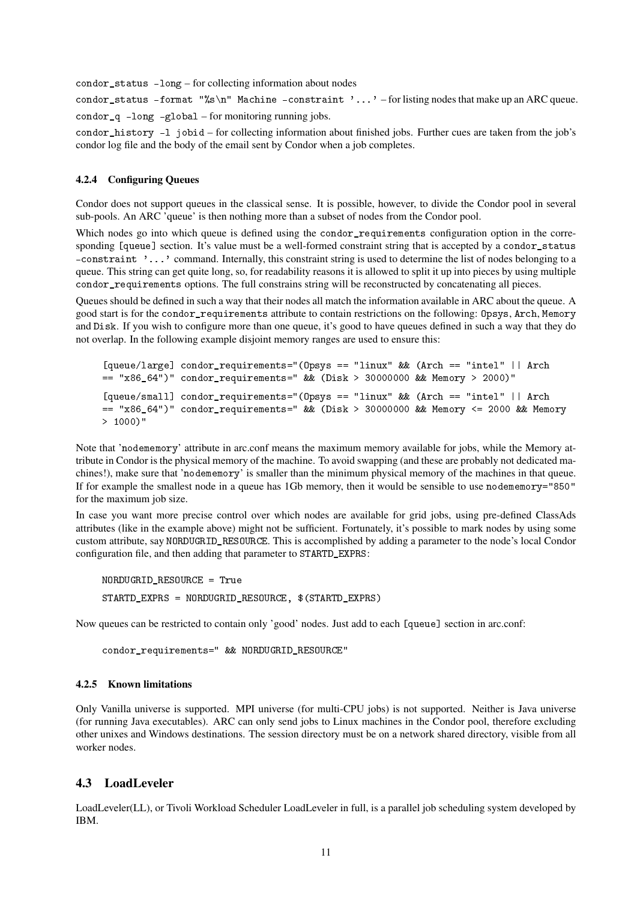condor\_status -long – for collecting information about nodes

condor\_status -format "%s\n" Machine -constraint '...' -for listing nodes that make up an ARC queue. condor\_q -long -global – for monitoring running jobs.

condor\_history -l jobid – for collecting information about finished jobs. Further cues are taken from the job's condor log file and the body of the email sent by Condor when a job completes.

# <span id="page-10-0"></span>4.2.4 Configuring Queues

Condor does not support queues in the classical sense. It is possible, however, to divide the Condor pool in several sub-pools. An ARC 'queue' is then nothing more than a subset of nodes from the Condor pool.

Which nodes go into which queue is defined using the condor\_requirements configuration option in the corresponding [queue] section. It's value must be a well-formed constraint string that is accepted by a condor status -constraint '...' command. Internally, this constraint string is used to determine the list of nodes belonging to a queue. This string can get quite long, so, for readability reasons it is allowed to split it up into pieces by using multiple condor\_requirements options. The full constrains string will be reconstructed by concatenating all pieces.

Queues should be defined in such a way that their nodes all match the information available in ARC about the queue. A good start is for the condor\_requirements attribute to contain restrictions on the following: Opsys, Arch, Memory and Disk. If you wish to configure more than one queue, it's good to have queues defined in such a way that they do not overlap. In the following example disjoint memory ranges are used to ensure this:

```
[queue/large] condor_requirements="(Opsys == "linux" && (Arch == "intel" || Arch
== "x86_64")" condor_requirements=" && (Disk > 30000000 && Memory > 2000)"
[queue/small] condor_requirements="(Opsys == "linux" && (Arch == "intel" || Arch
== "x86_64")" condor_requirements=" && (Disk > 30000000 && Memory <= 2000 && Memory
> 1000)"
```
Note that 'nodememory' attribute in arc.conf means the maximum memory available for jobs, while the Memory attribute in Condor is the physical memory of the machine. To avoid swapping (and these are probably not dedicated machines!), make sure that 'nodememory' is smaller than the minimum physical memory of the machines in that queue. If for example the smallest node in a queue has 1Gb memory, then it would be sensible to use nodememory="850" for the maximum job size.

In case you want more precise control over which nodes are available for grid jobs, using pre-defined ClassAds attributes (like in the example above) might not be sufficient. Fortunately, it's possible to mark nodes by using some custom attribute, say NORDUGRID\_RESOURCE. This is accomplished by adding a parameter to the node's local Condor configuration file, and then adding that parameter to STARTD\_EXPRS:

NORDUGRID\_RESOURCE = True STARTD\_EXPRS = NORDUGRID\_RESOURCE, \$(STARTD\_EXPRS)

Now queues can be restricted to contain only 'good' nodes. Just add to each [queue] section in arc.conf:

```
condor_requirements=" && NORDUGRID_RESOURCE"
```
#### <span id="page-10-1"></span>4.2.5 Known limitations

Only Vanilla universe is supported. MPI universe (for multi-CPU jobs) is not supported. Neither is Java universe (for running Java executables). ARC can only send jobs to Linux machines in the Condor pool, therefore excluding other unixes and Windows destinations. The session directory must be on a network shared directory, visible from all worker nodes.

## <span id="page-10-2"></span>4.3 LoadLeveler

LoadLeveler(LL), or Tivoli Workload Scheduler LoadLeveler in full, is a parallel job scheduling system developed by IBM.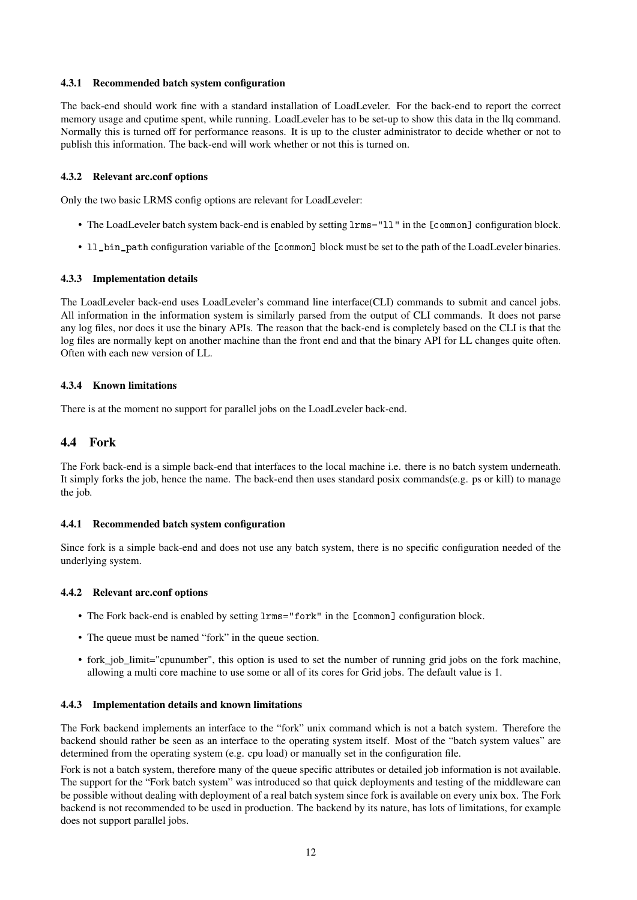### <span id="page-11-0"></span>4.3.1 Recommended batch system configuration

The back-end should work fine with a standard installation of LoadLeveler. For the back-end to report the correct memory usage and cputime spent, while running. LoadLeveler has to be set-up to show this data in the llq command. Normally this is turned off for performance reasons. It is up to the cluster administrator to decide whether or not to publish this information. The back-end will work whether or not this is turned on.

### <span id="page-11-1"></span>4.3.2 Relevant arc.conf options

Only the two basic LRMS config options are relevant for LoadLeveler:

- The LoadLeveler batch system back-end is enabled by setting  $l$ rms=" $l$ 1" in the [common] configuration block.
- 11 bin path configuration variable of the [common] block must be set to the path of the LoadLeveler binaries.

#### <span id="page-11-2"></span>4.3.3 Implementation details

The LoadLeveler back-end uses LoadLeveler's command line interface(CLI) commands to submit and cancel jobs. All information in the information system is similarly parsed from the output of CLI commands. It does not parse any log files, nor does it use the binary APIs. The reason that the back-end is completely based on the CLI is that the log files are normally kept on another machine than the front end and that the binary API for LL changes quite often. Often with each new version of LL.

#### <span id="page-11-3"></span>4.3.4 Known limitations

There is at the moment no support for parallel jobs on the LoadLeveler back-end.

# <span id="page-11-4"></span>4.4 Fork

The Fork back-end is a simple back-end that interfaces to the local machine i.e. there is no batch system underneath. It simply forks the job, hence the name. The back-end then uses standard posix commands(e.g. ps or kill) to manage the job.

#### <span id="page-11-5"></span>4.4.1 Recommended batch system configuration

Since fork is a simple back-end and does not use any batch system, there is no specific configuration needed of the underlying system.

#### <span id="page-11-6"></span>4.4.2 Relevant arc.conf options

- The Fork back-end is enabled by setting lrms="fork" in the [common] configuration block.
- The queue must be named "fork" in the queue section.
- fork job limit="cpunumber", this option is used to set the number of running grid jobs on the fork machine, allowing a multi core machine to use some or all of its cores for Grid jobs. The default value is 1.

#### <span id="page-11-7"></span>4.4.3 Implementation details and known limitations

The Fork backend implements an interface to the "fork" unix command which is not a batch system. Therefore the backend should rather be seen as an interface to the operating system itself. Most of the "batch system values" are determined from the operating system (e.g. cpu load) or manually set in the configuration file.

Fork is not a batch system, therefore many of the queue specific attributes or detailed job information is not available. The support for the "Fork batch system" was introduced so that quick deployments and testing of the middleware can be possible without dealing with deployment of a real batch system since fork is available on every unix box. The Fork backend is not recommended to be used in production. The backend by its nature, has lots of limitations, for example does not support parallel jobs.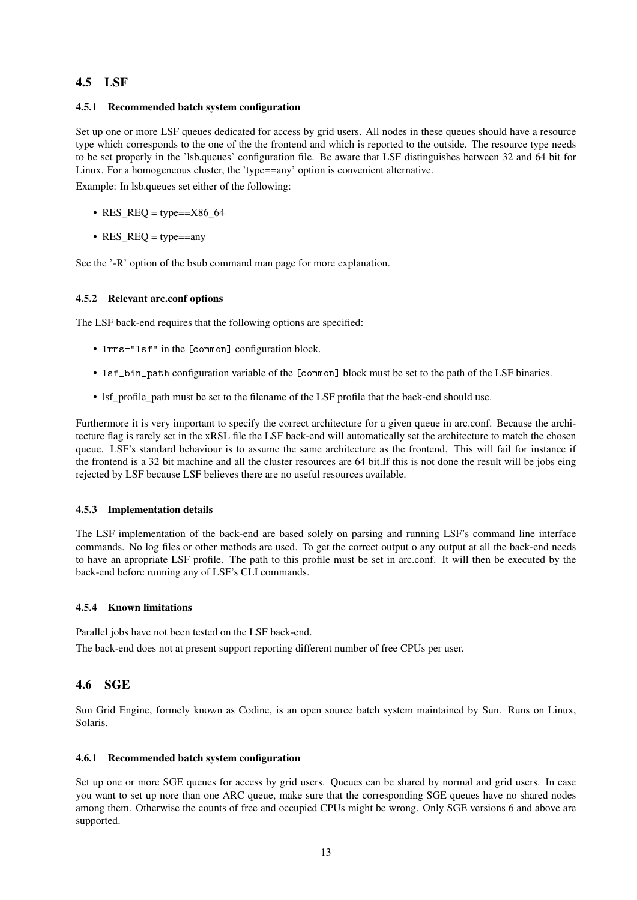# <span id="page-12-0"></span>4.5 LSF

### <span id="page-12-1"></span>4.5.1 Recommended batch system configuration

Set up one or more LSF queues dedicated for access by grid users. All nodes in these queues should have a resource type which corresponds to the one of the the frontend and which is reported to the outside. The resource type needs to be set properly in the 'lsb.queues' configuration file. Be aware that LSF distinguishes between 32 and 64 bit for Linux. For a homogeneous cluster, the 'type==any' option is convenient alternative.

Example: In lsb.queues set either of the following:

- RES\_REQ = type== $X86$ \_64
- $RES\_REQ = type == any$

See the '-R' option of the bsub command man page for more explanation.

### <span id="page-12-2"></span>4.5.2 Relevant arc.conf options

The LSF back-end requires that the following options are specified:

- $lms="lsf"$  in the [common] configuration block.
- lsf\_bin\_path configuration variable of the [common] block must be set to the path of the LSF binaries.
- lsf\_profile\_path must be set to the filename of the LSF profile that the back-end should use.

Furthermore it is very important to specify the correct architecture for a given queue in arc.conf. Because the architecture flag is rarely set in the xRSL file the LSF back-end will automatically set the architecture to match the chosen queue. LSF's standard behaviour is to assume the same architecture as the frontend. This will fail for instance if the frontend is a 32 bit machine and all the cluster resources are 64 bit.If this is not done the result will be jobs eing rejected by LSF because LSF believes there are no useful resources available.

## <span id="page-12-3"></span>4.5.3 Implementation details

The LSF implementation of the back-end are based solely on parsing and running LSF's command line interface commands. No log files or other methods are used. To get the correct output o any output at all the back-end needs to have an apropriate LSF profile. The path to this profile must be set in arc.conf. It will then be executed by the back-end before running any of LSF's CLI commands.

#### <span id="page-12-4"></span>4.5.4 Known limitations

Parallel jobs have not been tested on the LSF back-end.

The back-end does not at present support reporting different number of free CPUs per user.

# <span id="page-12-5"></span>4.6 SGE

Sun Grid Engine, formely known as Codine, is an open source batch system maintained by Sun. Runs on Linux, Solaris.

#### <span id="page-12-6"></span>4.6.1 Recommended batch system configuration

Set up one or more SGE queues for access by grid users. Queues can be shared by normal and grid users. In case you want to set up nore than one ARC queue, make sure that the corresponding SGE queues have no shared nodes among them. Otherwise the counts of free and occupied CPUs might be wrong. Only SGE versions 6 and above are supported.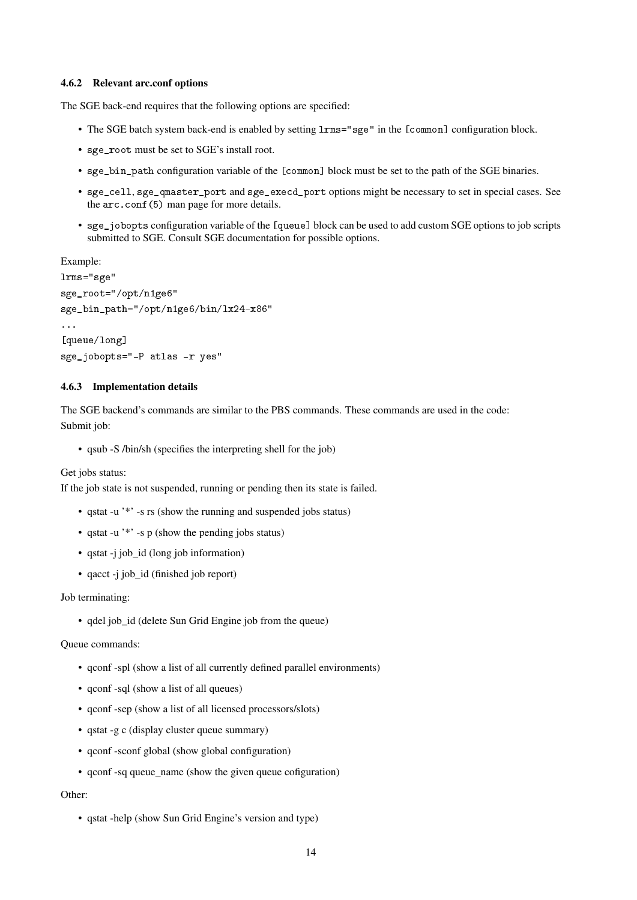#### <span id="page-13-0"></span>4.6.2 Relevant arc.conf options

The SGE back-end requires that the following options are specified:

- The SGE batch system back-end is enabled by setting lrms="sge" in the [common] configuration block.
- sge\_root must be set to SGE's install root.
- sge\_bin\_path configuration variable of the [common] block must be set to the path of the SGE binaries.
- sge\_cell, sge\_qmaster\_port and sge\_execd\_port options might be necessary to set in special cases. See the arc.conf(5) man page for more details.
- sge\_jobopts configuration variable of the [queue] block can be used to add custom SGE options to job scripts submitted to SGE. Consult SGE documentation for possible options.

```
Example:
lrms="sge"
sge_root="/opt/n1ge6"
sge_bin_path="/opt/n1ge6/bin/lx24-x86"
...
[queue/long]
```

```
sge_jobopts="-P atlas -r yes"
```
#### <span id="page-13-1"></span>4.6.3 Implementation details

The SGE backend's commands are similar to the PBS commands. These commands are used in the code: Submit job:

• qsub -S /bin/sh (specifies the interpreting shell for the job)

Get jobs status:

If the job state is not suspended, running or pending then its state is failed.

- qstat -u '\*' -s rs (show the running and suspended jobs status)
- qstat -u '\*' -s p (show the pending jobs status)
- qstat -j job\_id (long job information)
- qacct -j job\_id (finished job report)

#### Job terminating:

• qdel job\_id (delete Sun Grid Engine job from the queue)

Queue commands:

- qconf -spl (show a list of all currently defined parallel environments)
- qconf -sql (show a list of all queues)
- aconf -sep (show a list of all licensed processors/slots)
- qstat -g c (display cluster queue summary)
- qconf -sconf global (show global configuration)
- qconf -sq queue name (show the given queue cofiguration)

#### Other:

• qstat -help (show Sun Grid Engine's version and type)